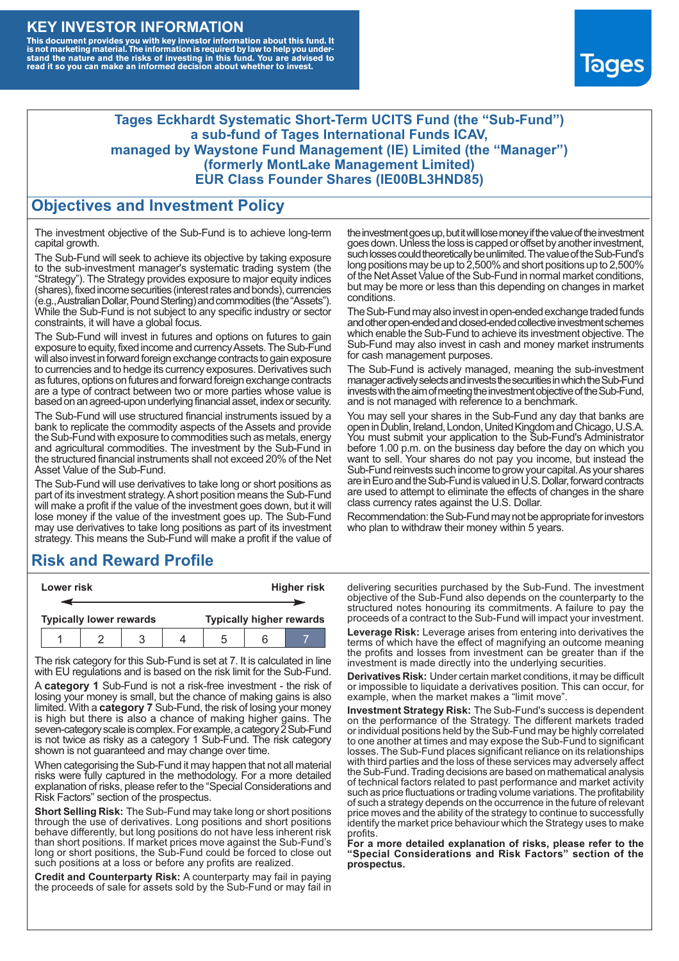### **KEY INVESTOR INFORMATION**

This document provides you with key investor information about this fund. It<br>is not marketing material. The information is required by law to help you under-<br>stand the nature and the risks of investing in this fund. You ar



#### **Tages Eckhardt Systematic Short-Term UCITS Fund (the "Sub-Fund") a sub-fund of Tages International Funds ICAV, managed by Waystone Fund Management (IE) Limited (the "Manager") (formerly MontLake Management Limited) EUR Class Founder Shares (IE00BL3HND85)**

#### **Objectives and Investment Policy**

The investment objective of the Sub-Fund is to achieve long-term capital growth.

The Sub-Fund will seek to achieve its objective by taking exposure to the sub-investment manager's systematic trading system (the "Strategy"). The Strategy provides exposure to major equity indices (shares),fixed income securities (interest rates and bonds), currencies (e.g.,AustralianDollar,PoundSterling)and commodities (the "Assets"). While the Sub-Fund is not subject to any specific industry or sector constraints, it will have a global focus.

The Sub-Fund will invest in futures and options on futures to gain exposure to equity, fixed income and currency Assets. The Sub-Fund will also invest in forward foreign exchange contracts to gain exposure to currencies and to hedge its currency exposures. Derivatives such as futures, options on futures and forward foreign exchange contracts are a type of contract between two or more parties whose value is based on an agreed-upon underlying financial asset, index or security.

The Sub-Fund will use structured financial instruments issued by a bank to replicate the commodity aspects of the Assets and provide the Sub-Fund with exposure to commodities such as metals, energy and agricultural commodities. The investment by the Sub-Fund in the structured financial instruments shall not exceed 20% of the Net Asset Value of the Sub-Fund.

The Sub-Fund will use derivatives to take long or short positions as part of its investment strategy.A short position means the Sub-Fund will make a profit if the value of the investment goes down, but it will lose money if the value of the investment goes up. The Sub-Fund may use derivatives to take long positions as part of its investment strategy. This means the Sub-Fund will make a profit if the value of

# **Risk and Reward Profile**

| Lower risk                     |  |  |  | <b>Higher risk</b>              |  |  |
|--------------------------------|--|--|--|---------------------------------|--|--|
|                                |  |  |  |                                 |  |  |
| <b>Typically lower rewards</b> |  |  |  | <b>Typically higher rewards</b> |  |  |
|                                |  |  |  | .5                              |  |  |

The risk category for this Sub-Fund is set at 7. It is calculated in line with EU regulations and is based on the risk limit for the Sub-Fund.

A **category 1** Sub-Fund is not a risk-free investment - the risk of losing your money is small, but the chance of making gains is also limited. With a **category 7** Sub-Fund, the risk of losing your money is high but there is also a chance of making higher gains. The seven-category scale is complex. For example, a category 2 Sub-Fund is not twice as risky as a category 1 Sub-Fund. The risk category shown is not guaranteed and may change over time.

When categorising the Sub-Fund it may happen that not all material risks were fully captured in the methodology. For a more detailed explanation of risks, please refer to the "Special Considerations and Risk Factors" section of the prospectus.

**Short Selling Risk:** The Sub-Fund may take long or short positions through the use of derivatives. Long positions and short positions behave differently, but long positions do not have less inherent risk than short positions. If market prices move against the Sub-Fund's long or short positions, the Sub-Fund could be forced to close out such positions at a loss or before any profits are realized.

**Credit and Counterparty Risk:** A counterparty may fail in paying the proceeds of sale for assets sold by the Sub-Fund or may fail in the investment goes up, but it will lose money if the value of the investment goes down. Unlessthe loss is capped or offset by another investment, such losses could theoretically be unlimited. The value of the Sub-Fund's long positions may be up to  $2,500\%$  and short positions up to  $2,500\%$ of the NetAsset Value of the Sub-Fund in normal market conditions, but may be more or less than this depending on changes in market conditions.

The Sub-Fund may also invest in open-ended exchange traded funds and other open-ended and closed-ended collective investment schemes which enable the Sub-Fund to achieve its investment objective. The Sub-Fund may also invest in cash and money market instruments for cash management purposes.

The Sub-Fund is actively managed, meaning the sub-investment manager actively selects and invests the securities in which the Sub-Fund invests with the aim of meeting the investment objective of the Sub-Fund, and is not managed with reference to a benchmark.

You may sell your shares in the Sub-Fund any day that banks are open in Dublin, Ireland, London, United Kingdom and Chicago, U.S.A. You must submit your application to the Sub-Fund's Administrator before 1.00 p.m. on the business day before the day on which you want to sell. Your shares do not pay you income, but instead the Sub-Fund reinvests such income to grow your capital. As your shares are in Euro and the Sub-Fund is valued in U.S. Dollar, forward contracts are used to attempt to eliminate the effects of changes in the share class currency rates against the U.S. Dollar.

Recommendation: the Sub-Fund may not be appropriate for investors who plan to withdraw their money within 5 years.

delivering securities purchased by the Sub-Fund. The investment objective of the Sub-Fund also depends on the counterparty to the structured notes honouring its commitments. A failure to pay the proceeds of a contract to the Sub-Fund will impact your investment.

**Leverage Risk:** Leverage arises from entering into derivatives the terms of which have the effect of magnifying an outcome meaning the profits and losses from investment can be greater than if the investment is made directly into the underlying securities.

**Derivatives Risk:** Under certain market conditions, it may be difficult or impossible to liquidate a derivatives position. This can occur, for example, when the market makes a "limit move".

**Investment Strategy Risk:** The Sub-Fund's success is dependent on the performance of the Strategy. The different markets traded or individual positions held by the Sub-Fund may be highly correlated to one another at times and may expose the Sub-Fund to significant losses. The Sub-Fund places significant reliance on its relationships with third parties and the loss of these services may adversely affect the Sub-Fund. Trading decisions are based on mathematical analysis of technical factors related to past performance and market activity such as price fluctuations or trading volume variations. The profitability of such a strategy depends on the occurrence in the future of relevant price moves and the ability of the strategy to continue to successfully identify the market price behaviour which the Strategy uses to make profits.

**For a more detailed explanation of risks, please refer to the "Special Considerations and Risk Factors" section of the prospectus.**